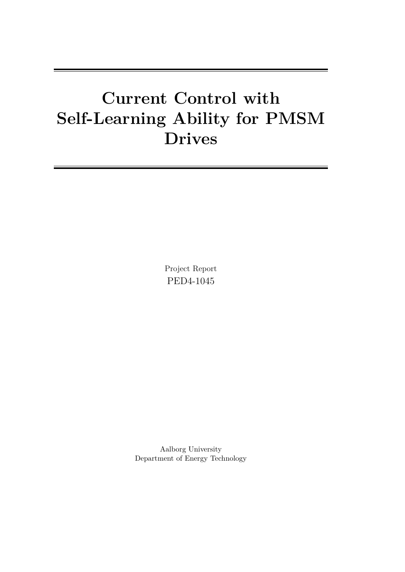# **Current Control with Self-Learning Ability for PMSM Drives**

Project Report PED4-1045

Aalborg University Department of Energy Technology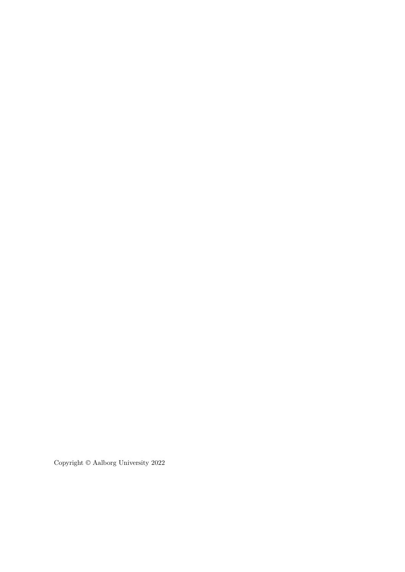Copyright © Aalborg University 2022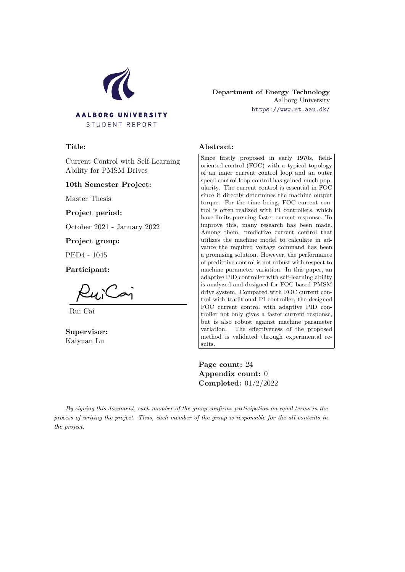

#### **Department of Energy Technology** Aalborg University <https://www.et.aau.dk/>

#### **Title:**

Current Control with Self-Learning Ability for PMSM Drives

#### **10th Semester Project:**

Master Thesis

**Project period:**

October 2021 - January 2022

**Project group:**

PED4 - 1045

**Participant:**

 $\sim$ 

Rui Cai

**Supervisor:** Kaiyuan Lu

#### **Abstract:**

Since firstly proposed in early 1970s, fieldoriented-control (FOC) with a typical topology of an inner current control loop and an outer speed control loop control has gained much popularity. The current control is essential in FOC since it directly determines the machine output torque. For the time being, FOC current control is often realized with PI controllers, which have limits pursuing faster current response. To improve this, many research has been made. Among them, predictive current control that utilizes the machine model to calculate in advance the required voltage command has been a promising solution. However, the performance of predictive control is not robust with respect to machine parameter variation. In this paper, an adaptive PID controller with self-learning ability is analyzed and designed for FOC based PMSM drive system. Compared with FOC current control with traditional PI controller, the designed FOC current control with adaptive PID controller not only gives a faster current response, but is also robust against machine parameter variation. The effectiveness of the proposed method is validated through experimental results.

**Page count:** 24 **Appendix count:** 0 **Completed:** 01/2/2022

*By signing this document, each member of the group confirms participation on equal terms in the process of writing the project. Thus, each member of the group is responsible for the all contents in the project.*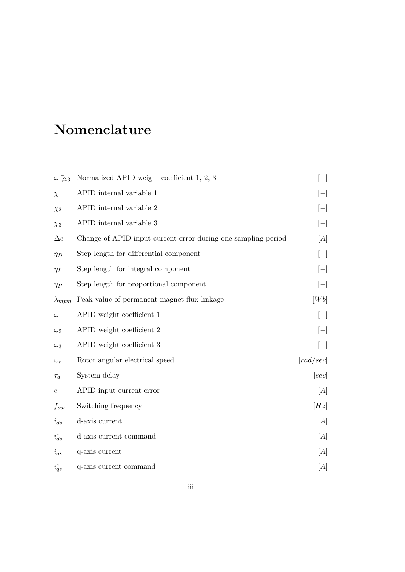# **Nomenclature**

| $\omega_{1,2,3}^{-}$ | Normalized APID weight coefficient 1, 2, 3                    | $[-]$     |
|----------------------|---------------------------------------------------------------|-----------|
| $\chi_1$             | APID internal variable 1                                      |           |
| $\chi_2$             | APID internal variable 2                                      | $[-]$     |
| $\chi_3$             | APID internal variable 3                                      | $[-]$     |
| $\Delta e$           | Change of APID input current error during one sampling period | [A]       |
| $\eta_D$             | Step length for differential component                        | $[-]$     |
| $\eta_I$             | Step length for integral component                            | $[-]$     |
| $\eta_P$             | Step length for proportional component                        | $ - $     |
| $\lambda_{mpm}$      | Peak value of permanent magnet flux linkage                   | [Wb]      |
| $\omega_1$           | APID weight coefficient 1                                     | $ - $     |
| $\omega_2$           | APID weight coefficient 2                                     | $[-]$     |
| $\omega_3$           | APID weight coefficient 3                                     | $[-]$     |
| $\omega_r$           | Rotor angular electrical speed                                | [rad/sec] |
| $\tau_d$             | System delay                                                  | [sec]     |
| $\epsilon$           | APID input current error                                      | [A]       |
| $f_{sw}$             | Switching frequency                                           | [Hz]      |
| $i_{ds}$             | d-axis current                                                | [A]       |
| $i_{ds}^*$           | d-axis current command                                        | [A]       |
| $i_{qs}$             | q-axis current                                                | [A]       |
| $i_{qs}^*$           | q-axis current command                                        | [A]       |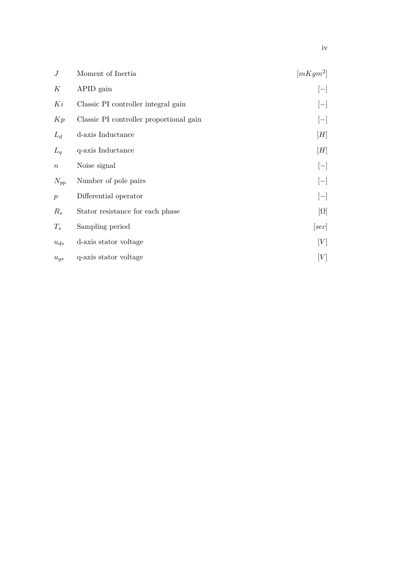| $\boldsymbol{J}$ | Moment of Inertia                       | $[mKgm^2]$ |
|------------------|-----------------------------------------|------------|
| K                | APID gain                               | $ - $      |
| Ki               | Classic PI controller integral gain     | $ - $      |
| Kp               | Classic PI controller proportional gain | $ - $      |
| $L_d$            | d-axis Inductance                       | [H]        |
| $L_q$            | q-axis Inductance                       | [H]        |
| $\boldsymbol{n}$ | Noise signal                            | $ - $      |
| $N_{pp}$         | Number of pole pairs                    | $[-]$      |
| $\boldsymbol{p}$ | Differential operator                   | $ - $      |
| $R_s$            | Stator resistance for each phase        | $[\Omega]$ |
| $T_s$            | Sampling period                         | [sec]      |
| $u_{ds}$         | d-axis stator voltage                   | [V]        |
| $u_{qs}$         | q-axis stator voltage                   | [V]        |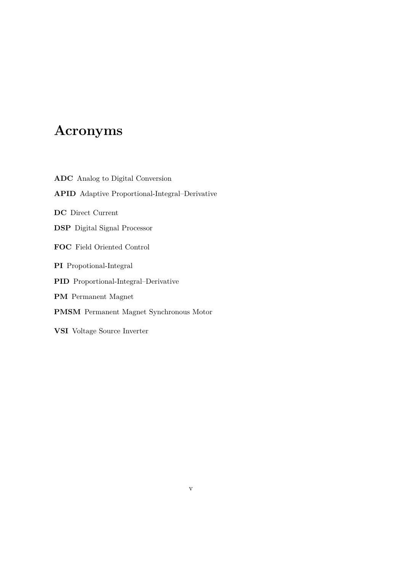# **Acronyms**

**ADC** Analog to Digital Conversion **APID** Adaptive Proportional-Integral–Derivative **DC** Direct Current **DSP** Digital Signal Processor **FOC** Field Oriented Control **PI** Propotional-Integral **PID** Proportional-Integral–Derivative **PM** Permanent Magnet **PMSM** Permanent Magnet Synchronous Motor **VSI** Voltage Source Inverter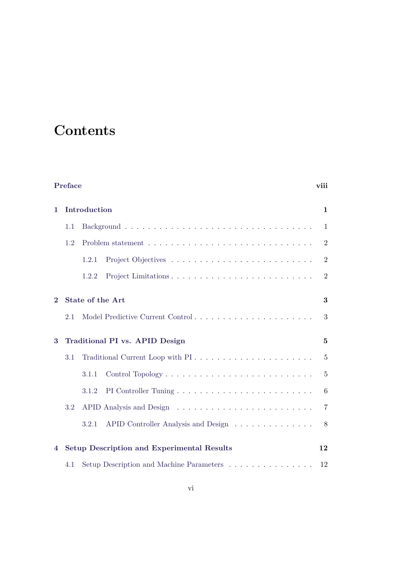# **Contents**

| Preface<br>viii |     |                                                                          |                |  |  |
|-----------------|-----|--------------------------------------------------------------------------|----------------|--|--|
| 1               |     | Introduction                                                             | $\mathbf{1}$   |  |  |
|                 | 1.1 |                                                                          | $\mathbf{1}$   |  |  |
|                 | 1.2 |                                                                          |                |  |  |
|                 |     | 1.2.1                                                                    | $\overline{2}$ |  |  |
|                 |     | 1.2.2                                                                    | $\overline{2}$ |  |  |
| $\mathbf{2}$    | 2.1 | <b>State of the Art</b><br>Model Predictive Current Control              | 3<br>3         |  |  |
| 3               |     | Traditional PI vs. APID Design                                           | $\overline{5}$ |  |  |
|                 | 3.1 | Traditional Current Loop with PI                                         | $\overline{5}$ |  |  |
|                 |     | 3.1.1                                                                    | $\overline{5}$ |  |  |
|                 |     | 3.1.2                                                                    | 6              |  |  |
|                 | 3.2 |                                                                          | $\overline{7}$ |  |  |
|                 |     | APID Controller Analysis and Design<br>3.2.1                             | 8              |  |  |
| 4               |     | <b>Setup Description and Experimental Results</b>                        | 12             |  |  |
|                 | 4.1 | Setup Description and Machine Parameters $\dots \dots \dots \dots \dots$ | 12             |  |  |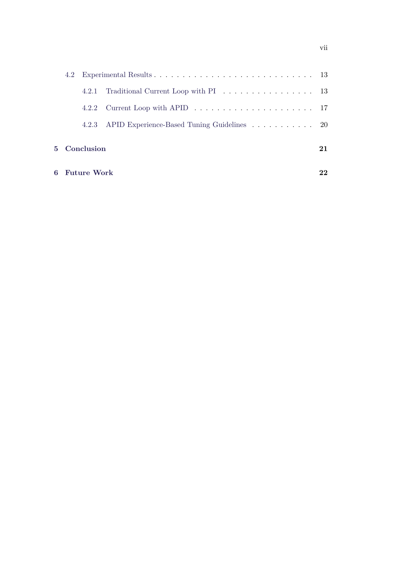|  | 4.2.1         | Traditional Current Loop with PI $\ldots \ldots \ldots \ldots \ldots$ 13            |    |  |
|--|---------------|-------------------------------------------------------------------------------------|----|--|
|  | 4.2.2         | Current Loop with APID $\ldots \ldots \ldots \ldots \ldots \ldots \ldots \ldots 17$ |    |  |
|  |               | 4.2.3 APID Experience-Based Tuning Guidelines 20                                    |    |  |
|  | 5 Conclusion  |                                                                                     | 21 |  |
|  | 6 Future Work |                                                                                     |    |  |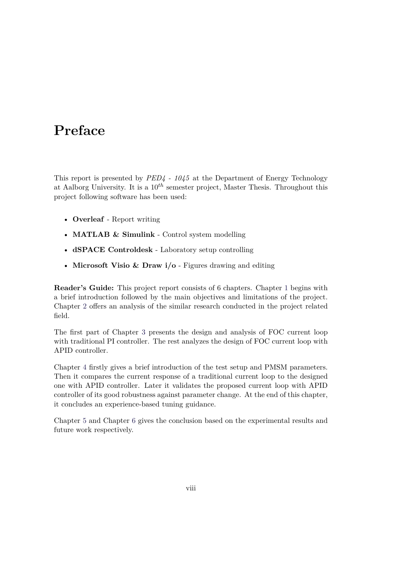# <span id="page-8-0"></span>**Preface**

This report is presented by *PED4 - 1045* at the Department of Energy Technology at Aalborg University. It is a 10*th* semester project, Master Thesis. Throughout this project following software has been used:

- **Overleaf** Report writing
- **MATLAB & Simulink** Control system modelling
- **dSPACE Controldesk** Laboratory setup controlling
- **Microsoft Visio & Draw i/o** Figures drawing and editing

**Reader's Guide:** This project report consists of 6 chapters. Chapter [1](#page-9-0) begins with a brief introduction followed by the main objectives and limitations of the project. Chapter [2](#page-11-0) offers an analysis of the similar research conducted in the project related field.

The first part of Chapter [3](#page-13-0) presents the design and analysis of FOC current loop with traditional PI controller. The rest analyzes the design of FOC current loop with APID controller.

Chapter [4](#page-20-0) firstly gives a brief introduction of the test setup and PMSM parameters. Then it compares the current response of a traditional current loop to the designed one with APID controller. Later it validates the proposed current loop with APID controller of its good robustness against parameter change. At the end of this chapter, it concludes an experience-based tuning guidance.

Chapter [5](#page-29-0) and Chapter [6](#page-30-0) gives the conclusion based on the experimental results and future work respectively.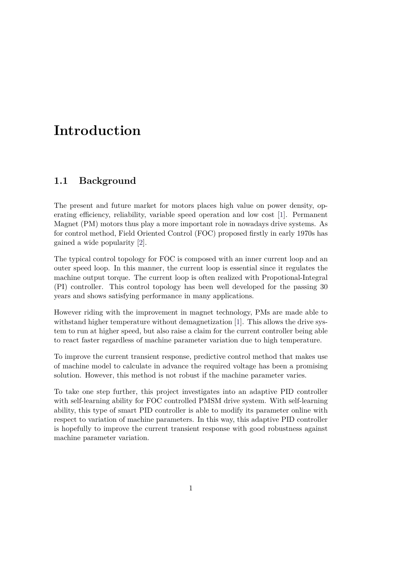# <span id="page-9-0"></span>**Introduction**

## <span id="page-9-1"></span>**1.1 Background**

The present and future market for motors places high value on power density, operating efficiency, reliability, variable speed operation and low cost [\[1\]](#page-31-0). Permanent Magnet (PM) motors thus play a more important role in nowadays drive systems. As for control method, Field Oriented Control (FOC) proposed firstly in early 1970s has gained a wide popularity [\[2\]](#page-31-1).

The typical control topology for FOC is composed with an inner current loop and an outer speed loop. In this manner, the current loop is essential since it regulates the machine output torque. The current loop is often realized with Propotional-Integral (PI) controller. This control topology has been well developed for the passing 30 years and shows satisfying performance in many applications.

However riding with the improvement in magnet technology, PMs are made able to withstand higher temperature without demagnetization [\[1\]](#page-31-0). This allows the drive system to run at higher speed, but also raise a claim for the current controller being able to react faster regardless of machine parameter variation due to high temperature.

To improve the current transient response, predictive control method that makes use of machine model to calculate in advance the required voltage has been a promising solution. However, this method is not robust if the machine parameter varies.

<span id="page-9-2"></span>To take one step further, this project investigates into an adaptive PID controller with self-learning ability for FOC controlled PMSM drive system. With self-learning ability, this type of smart PID controller is able to modify its parameter online with respect to variation of machine parameters. In this way, this adaptive PID controller is hopefully to improve the current transient response with good robustness against machine parameter variation.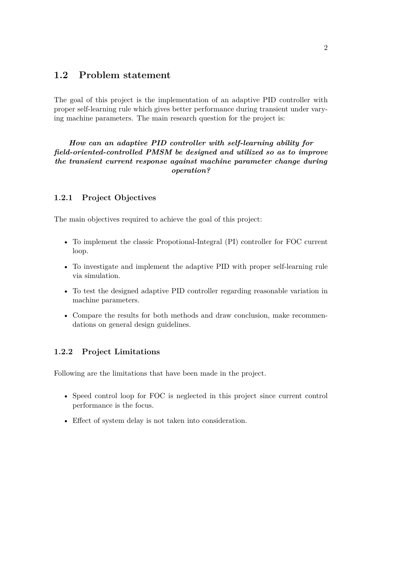### **1.2 Problem statement**

The goal of this project is the implementation of an adaptive PID controller with proper self-learning rule which gives better performance during transient under varying machine parameters. The main research question for the project is:

### *How can an adaptive PID controller with self-learning ability for field-oriented-controlled PMSM be designed and utilized so as to improve the transient current response against machine parameter change during operation?*

### <span id="page-10-0"></span>**1.2.1 Project Objectives**

The main objectives required to achieve the goal of this project:

- To implement the classic Propotional-Integral (PI) controller for FOC current loop.
- To investigate and implement the adaptive PID with proper self-learning rule via simulation.
- To test the designed adaptive PID controller regarding reasonable variation in machine parameters.
- Compare the results for both methods and draw conclusion, make recommendations on general design guidelines.

#### <span id="page-10-1"></span>**1.2.2 Project Limitations**

Following are the limitations that have been made in the project.

- Speed control loop for FOC is neglected in this project since current control performance is the focus.
- Effect of system delay is not taken into consideration.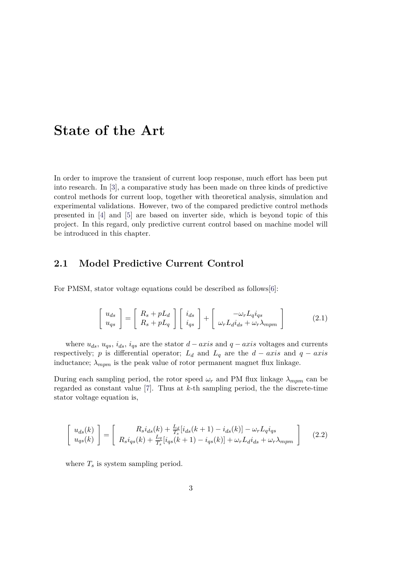## <span id="page-11-0"></span>**State of the Art**

In order to improve the transient of current loop response, much effort has been put into research. In [\[3\]](#page-31-2), a comparative study has been made on three kinds of predictive control methods for current loop, together with theoretical analysis, simulation and experimental validations. However, two of the compared predictive control methods presented in [\[4\]](#page-31-3) and [\[5\]](#page-31-4) are based on inverter side, which is beyond topic of this project. In this regard, only predictive current control based on machine model will be introduced in this chapter.

### <span id="page-11-1"></span>**2.1 Model Predictive Current Control**

For PMSM, stator voltage equations could be described as follows[\[6\]](#page-31-5):

$$
\begin{bmatrix} u_{ds} \\ u_{qs} \end{bmatrix} = \begin{bmatrix} R_s + pL_d \\ R_s + pL_q \end{bmatrix} \begin{bmatrix} i_{ds} \\ i_{qs} \end{bmatrix} + \begin{bmatrix} -\omega_r L_q i_{qs} \\ \omega_r L_d i_{ds} + \omega_r \lambda_{mpm} \end{bmatrix}
$$
(2.1)

where  $u_{ds}$ ,  $u_{qs}$ ,  $i_{ds}$ ,  $i_{qs}$  are the stator  $d - axis$  and  $q - axis$  voltages and currents respectively; *p* is differential operator;  $L_d$  and  $L_q$  are the  $d - axis$  and  $q - axis$ inductance;  $\lambda_{mpm}$  is the peak value of rotor permanent magnet flux linkage.

During each sampling period, the rotor speed  $\omega_r$  and PM flux linkage  $\lambda_{m \nu m}$  can be regarded as constant value [\[7\]](#page-31-6). Thus at *k*-th sampling period, the the discrete-time stator voltage equation is,

<span id="page-11-2"></span>
$$
\begin{bmatrix} u_{ds}(k) \\ u_{qs}(k) \end{bmatrix} = \begin{bmatrix} R_s i_{ds}(k) + \frac{L_d}{T_s} [i_{ds}(k+1) - i_{ds}(k)] - \omega_r L_q i_{qs} \\ R_s i_{qs}(k) + \frac{L_q}{T_s} [i_{qs}(k+1) - i_{qs}(k)] + \omega_r L_d i_{ds} + \omega_r \lambda_{mpm} \end{bmatrix}
$$
(2.2)

where  $T_s$  is system sampling period.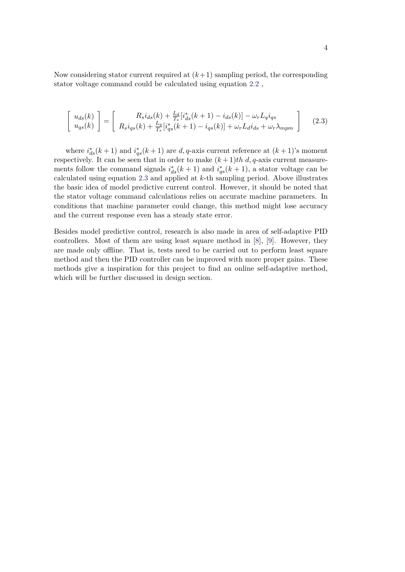Now considering stator current required at  $(k+1)$  sampling period, the corresponding stator voltage command could be calculated using equation [2.2](#page-11-2) ,

<span id="page-12-0"></span>
$$
\begin{bmatrix} u_{ds}(k) \\ u_{qs}(k) \end{bmatrix} = \begin{bmatrix} R_s i_{ds}(k) + \frac{L_d}{T_s} [i_{ds}^*(k+1) - i_{ds}(k)] - \omega_r L_q i_{qs} \\ R_s i_{qs}(k) + \frac{L_q}{T_s} [i_{qs}^*(k+1) - i_{qs}(k)] + \omega_r L_d i_{ds} + \omega_r \lambda_{mpm} \end{bmatrix}
$$
(2.3)

where  $i_{ds}^*(k+1)$  and  $i_{qs}^*(k+1)$  are  $d, q$ -axis current reference at  $(k+1)$ 's moment respectively. It can be seen that in order to make  $(k+1)$ th d, q-axis current measurements follow the command signals  $i_{ds}^*(k+1)$  and  $i_{qs}^*(k+1)$ , a stator voltage can be calculated using equation [2.3](#page-12-0) and applied at *k*-th sampling period. Above illustrates the basic idea of model predictive current control. However, it should be noted that the stator voltage command calculations relies on accurate machine parameters. In conditions that machine parameter could change, this method might lose accuracy and the current response even has a steady state error.

Besides model predictive control, research is also made in area of self-adaptive PID controllers. Most of them are using least square method in [\[8\]](#page-31-7), [\[9\]](#page-32-0). However, they are made only offline. That is, tests need to be carried out to perform least square method and then the PID controller can be improved with more proper gains. These methods give a inspiration for this project to find an online self-adaptive method, which will be further discussed in design section.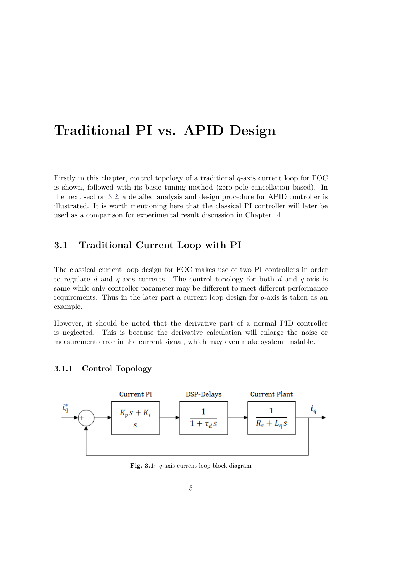# <span id="page-13-0"></span>**Traditional PI vs. APID Design**

Firstly in this chapter, control topology of a traditional *q*-axis current loop for FOC is shown, followed with its basic tuning method (zero-pole cancellation based). In the next section [3.2,](#page-15-0) a detailed analysis and design procedure for APID controller is illustrated. It is worth mentioning here that the classical PI controller will later be used as a comparison for experimental result discussion in Chapter. [4.](#page-20-0)

### <span id="page-13-1"></span>**3.1 Traditional Current Loop with PI**

The classical current loop design for FOC makes use of two PI controllers in order to regulate *d* and *q*-axis currents. The control topology for both *d* and *q*-axis is same while only controller parameter may be different to meet different performance requirements. Thus in the later part a current loop design for *q*-axis is taken as an example.

However, it should be noted that the derivative part of a normal PID controller is neglected. This is because the derivative calculation will enlarge the noise or measurement error in the current signal, which may even make system unstable.

### <span id="page-13-2"></span>**3.1.1 Control Topology**

<span id="page-13-3"></span>

**Fig. 3.1:** *q*-axis current loop block diagram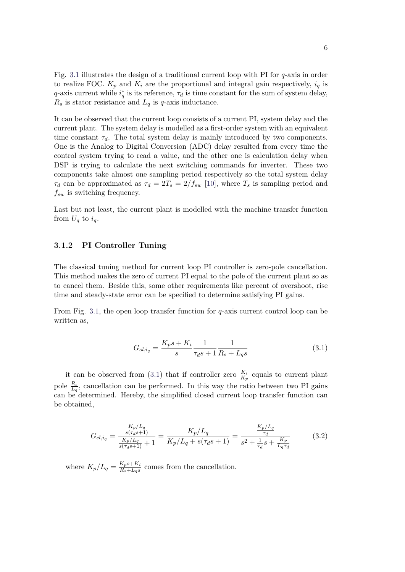Fig. [3.1](#page-13-3) illustrates the design of a traditional current loop with PI for *q*-axis in order to realize FOC.  $K_p$  and  $K_i$  are the proportional and integral gain respectively,  $i_q$  is *q*-axis current while  $i_q^*$  is its reference,  $\tau_d$  is time constant for the sum of system delay,  $R_s$  is stator resistance and  $L_q$  is *q*-axis inductance.

It can be observed that the current loop consists of a current PI, system delay and the current plant. The system delay is modelled as a first-order system with an equivalent time constant  $\tau_d$ . The total system delay is mainly introduced by two components. One is the Analog to Digital Conversion (ADC) delay resulted from every time the control system trying to read a value, and the other one is calculation delay when DSP is trying to calculate the next switching commands for inverter. These two components take almost one sampling period respectively so the total system delay *τd* can be approximated as  $\tau_d = 2T_s = 2/f_{sw}$  [\[10\]](#page-32-1), where  $T_s$  is sampling period and *fsw* is switching frequency.

Last but not least, the current plant is modelled with the machine transfer function from  $U_q$  to  $i_q$ .

### <span id="page-14-0"></span>**3.1.2 PI Controller Tuning**

The classical tuning method for current loop PI controller is zero-pole cancellation. This method makes the zero of current PI equal to the pole of the current plant so as to cancel them. Beside this, some other requirements like percent of overshoot, rise time and steady-state error can be specified to determine satisfying PI gains.

From Fig. [3.1,](#page-13-3) the open loop transfer function for *q*-axis current control loop can be written as,

<span id="page-14-1"></span>
$$
G_{ol,i_q} = \frac{K_p s + K_i}{s} \frac{1}{\tau_d s + 1} \frac{1}{R_s + L_q s} \tag{3.1}
$$

it can be observed from [\(3.1\)](#page-14-1) that if controller zero  $\frac{K_i}{K_p}$  equals to current plant pole  $\frac{R_s}{L_q}$ , cancellation can be performed. In this way the ratio between two PI gains can be determined. Hereby, the simplified closed current loop transfer function can be obtained,

<span id="page-14-2"></span>
$$
G_{cl,i_q} = \frac{\frac{K_p/L_q}{s(\tau_d s + 1)}}{\frac{K_p/L_q}{s(\tau_d s + 1)} + 1} = \frac{K_p/L_q}{K_p/L_q + s(\tau_d s + 1)} = \frac{\frac{K_p/L_q}{\tau_d}}{s^2 + \frac{1}{\tau_d} s + \frac{K_p}{L_q \tau_d}}
$$
(3.2)

where  $K_p/L_q = \frac{K_ps+K_i}{R_s+L_ns}$  $\frac{R_p s + R_i}{R_s + L_q s}$  comes from the cancellation.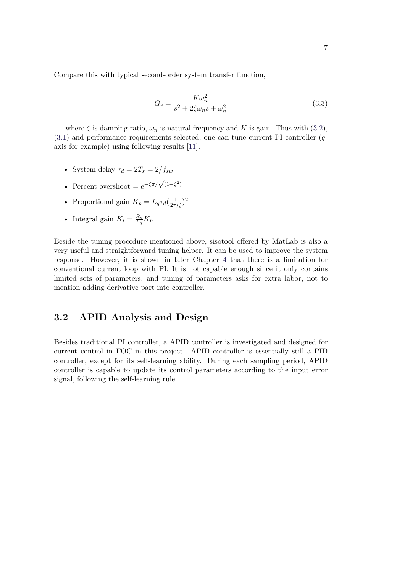Compare this with typical second-order system transfer function,

$$
G_s = \frac{K\omega_n^2}{s^2 + 2\zeta\omega_n s + \omega_n^2}
$$
\n(3.3)

where  $\zeta$  is damping ratio,  $\omega_n$  is natural frequency and *K* is gain. Thus with [\(3.2\)](#page-14-2), [\(3.1\)](#page-14-1) and performance requirements selected, one can tune current PI controller (*q*axis for example) using following results [\[11\]](#page-32-2).

- System delay  $\tau_d = 2T_s = 2/f_{sw}$
- Percent overshoot =  $e^{-\zeta \pi/\sqrt{(1-\zeta^2)}}$
- Proportional gain  $K_p = L_q \tau_d \left( \frac{1}{2\tau_p} \right)$  $\frac{1}{2\tau_d\zeta}$ <sup>2</sup>
- Integral gain  $K_i = \frac{R_s}{L_i}$  $\frac{R_s}{L_q} K_p$

Beside the tuning procedure mentioned above, sisotool offered by MatLab is also a very useful and straightforward tuning helper. It can be used to improve the system response. However, it is shown in later Chapter [4](#page-20-0) that there is a limitation for conventional current loop with PI. It is not capable enough since it only contains limited sets of parameters, and tuning of parameters asks for extra labor, not to mention adding derivative part into controller.

### <span id="page-15-0"></span>**3.2 APID Analysis and Design**

<span id="page-15-1"></span>Besides traditional PI controller, a APID controller is investigated and designed for current control in FOC in this project. APID controller is essentially still a PID controller, except for its self-learning ability. During each sampling period, APID controller is capable to update its control parameters according to the input error signal, following the self-learning rule.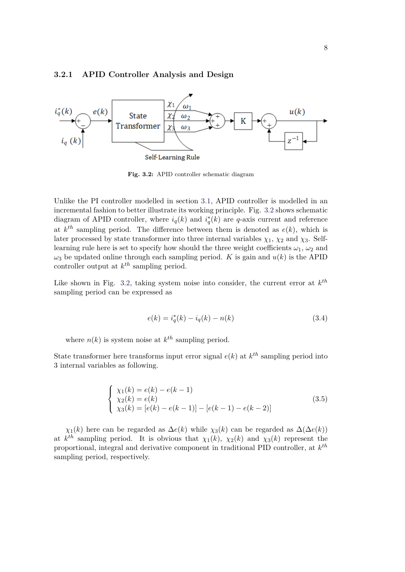#### **3.2.1 APID Controller Analysis and Design**

<span id="page-16-0"></span>

**Fig. 3.2:** APID controller schematic diagram

Unlike the PI controller modelled in section [3.1,](#page-13-1) APID controller is modelled in an incremental fashion to better illustrate its working principle. Fig. [3.2](#page-16-0) shows schematic diagram of APID controller, where  $i_q(k)$  and  $i_q^*(k)$  are *q*-axis current and reference at  $k^{th}$  sampling period. The difference between them is denoted as  $e(k)$ , which is later processed by state transformer into three internal variables  $\chi_1$ ,  $\chi_2$  and  $\chi_3$ . Selflearning rule here is set to specify how should the three weight coefficients  $\omega_1$ ,  $\omega_2$  and  $\omega_3$  be updated online through each sampling period. *K* is gain and  $u(k)$  is the APID controller output at *k th* sampling period.

Like shown in Fig. [3.2,](#page-16-0) taking system noise into consider, the current error at *k th* sampling period can be expressed as

$$
e(k) = i_q^*(k) - i_q(k) - n(k)
$$
\n(3.4)

where  $n(k)$  is system noise at  $k^{th}$  sampling period.

State transformer here transforms input error signal  $e(k)$  at  $k^{th}$  sampling period into 3 internal variables as following.

$$
\begin{cases}\n\chi_1(k) = e(k) - e(k-1) \\
\chi_2(k) = e(k) \\
\chi_3(k) = [e(k) - e(k-1)] - [e(k-1) - e(k-2)]\n\end{cases}
$$
\n(3.5)

*χ*<sub>1</sub>(*k*) here can be regarded as  $\Delta e(k)$  while *χ*<sub>3</sub>(*k*) can be regarded as  $\Delta(\Delta e(k))$ at  $k^{th}$  sampling period. It is obvious that  $\chi_1(k)$ ,  $\chi_2(k)$  and  $\chi_3(k)$  represent the proportional, integral and derivative component in traditional PID controller, at *k th* sampling period, respectively.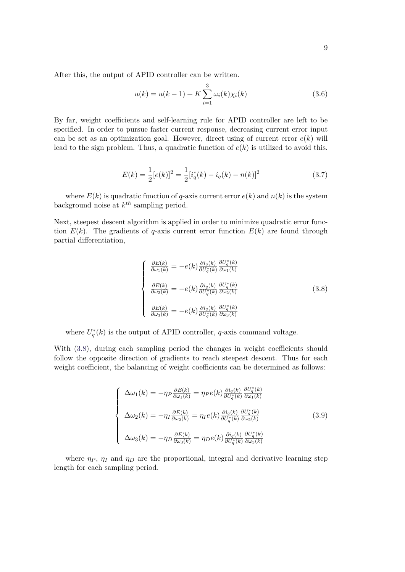After this, the output of APID controller can be written.

<span id="page-17-1"></span>
$$
u(k) = u(k-1) + K \sum_{i=1}^{3} \omega_i(k) \chi_i(k)
$$
\n(3.6)

By far, weight coefficients and self-learning rule for APID controller are left to be specified. In order to pursue faster current response, decreasing current error input can be set as an optimization goal. However, direct using of current error  $e(k)$  will lead to the sign problem. Thus, a quadratic function of *e*(*k*) is utilized to avoid this.

$$
E(k) = \frac{1}{2}[e(k)]^2 = \frac{1}{2}[i_q^*(k) - i_q(k) - n(k)]^2
$$
\n(3.7)

where  $E(k)$  is quadratic function of *q*-axis current error  $e(k)$  and  $n(k)$  is the system background noise at *k th* sampling period.

Next, steepest descent algorithm is applied in order to minimize quadratic error function  $E(k)$ . The gradients of *q*-axis current error function  $E(k)$  are found through partial differentiation,

<span id="page-17-0"></span>
$$
\begin{cases}\n\frac{\partial E(k)}{\partial \omega_1(k)} = -e(k) \frac{\partial i_q(k)}{\partial U_q^*(k)} \frac{\partial U_q^*(k)}{\partial \omega_1(k)} \\
\frac{\partial E(k)}{\partial \omega_2(k)} = -e(k) \frac{\partial i_q(k)}{\partial U_q^*(k)} \frac{\partial U_q^*(k)}{\partial \omega_2(k)} \\
\frac{\partial E(k)}{\partial \omega_3(k)} = -e(k) \frac{\partial i_q(k)}{\partial U_q^*(k)} \frac{\partial U_q^*(k)}{\partial \omega_3(k)}\n\end{cases} (3.8)
$$

where  $U_q^*(k)$  is the output of APID controller, *q*-axis command voltage.

With  $(3.8)$ , during each sampling period the changes in weight coefficients should follow the opposite direction of gradients to reach steepest descent. Thus for each weight coefficient, the balancing of weight coefficients can be determined as follows:

<span id="page-17-2"></span>
$$
\begin{cases}\n\Delta\omega_{1}(k) = -\eta_{P}\frac{\partial E(k)}{\partial\omega_{1}(k)} = \eta_{P}e(k)\frac{\partial i_{q}(k)}{\partial U_{q}^{*}(k)}\frac{\partial U_{q}^{*}(k)}{\partial\omega_{1}(k)} \\
\Delta\omega_{2}(k) = -\eta_{I}\frac{\partial E(k)}{\partial\omega_{2}(k)} = \eta_{I}e(k)\frac{\partial i_{q}(k)}{\partial U_{q}^{*}(k)}\frac{\partial U_{q}^{*}(k)}{\partial\omega_{2}(k)} \\
\Delta\omega_{3}(k) = -\eta_{D}\frac{\partial E(k)}{\partial\omega_{3}(k)} = \eta_{D}e(k)\frac{\partial i_{q}(k)}{\partial U_{q}^{*}(k)}\frac{\partial U_{q}^{*}(k)}{\partial\omega_{3}(k)}\n\end{cases}
$$
\n(3.9)

where  $\eta_P$ ,  $\eta_I$  and  $\eta_D$  are the proportional, integral and derivative learning step length for each sampling period.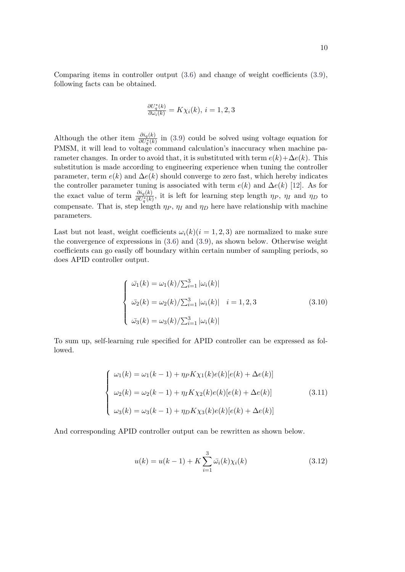$$
\frac{\partial U_q^*(k)}{\partial \omega_i(k)} = K\chi_i(k), \, i = 1, 2, 3
$$

Although the other item  $\frac{\partial i_q(k)}{\partial U_q^*(k)}$  in [\(3.9\)](#page-17-2) could be solved using voltage equation for PMSM, it will lead to voltage command calculation's inaccuracy when machine parameter changes. In order to avoid that, it is substituted with term  $e(k) + \Delta e(k)$ . This substitution is made according to engineering experience when tuning the controller parameter, term  $e(k)$  and  $\Delta e(k)$  should converge to zero fast, which hereby indicates the controller parameter tuning is associated with term  $e(k)$  and  $\Delta e(k)$  [\[12\]](#page-32-3). As for the exact value of term  $\frac{\partial i_q(k)}{\partial U_q^*(k)}$ , it is left for learning step length  $\eta_P$ ,  $\eta_I$  and  $\eta_D$  to compensate. That is, step length  $\eta_P$ ,  $\eta_I$  and  $\eta_D$  here have relationship with machine parameters.

Last but not least, weight coefficients  $\omega_i(k)(i=1,2,3)$  are normalized to make sure the convergence of expressions in [\(3.6\)](#page-17-1) and [\(3.9\)](#page-17-2), as shown below. Otherwise weight coefficients can go easily off boundary within certain number of sampling periods, so does APID controller output.

$$
\begin{cases}\n\bar{\omega}_1(k) = \omega_1(k)/\sum_{i=1}^3 |\omega_i(k)| \\
\bar{\omega}_2(k) = \omega_2(k)/\sum_{i=1}^3 |\omega_i(k)| \quad i = 1, 2, 3 \\
\bar{\omega}_3(k) = \omega_3(k)/\sum_{i=1}^3 |\omega_i(k)|\n\end{cases}
$$
\n(3.10)

To sum up, self-learning rule specified for APID controller can be expressed as followed.

$$
\begin{cases}\n\omega_1(k) = \omega_1(k-1) + \eta_P K \chi_1(k)e(k)[e(k) + \Delta e(k)] \\
\omega_2(k) = \omega_2(k-1) + \eta_I K \chi_2(k)e(k)[e(k) + \Delta e(k)] \\
\omega_3(k) = \omega_3(k-1) + \eta_D K \chi_3(k)e(k)[e(k) + \Delta e(k)]\n\end{cases}
$$
\n(3.11)

And corresponding APID controller output can be rewritten as shown below.

$$
u(k) = u(k-1) + K \sum_{i=1}^{3} \bar{\omega}_i(k) \chi_i(k)
$$
\n(3.12)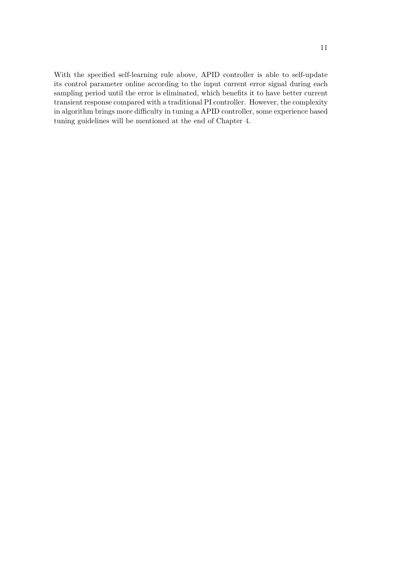With the specified self-learning rule above, APID controller is able to self-update its control parameter online according to the input current error signal during each sampling period until the error is eliminated, which benefits it to have better current transient response compared with a traditional PI controller. However, the complexity in algorithm brings more difficulty in tuning a APID controller, some experience based tuning guidelines will be mentioned at the end of Chapter [4.](#page-20-0)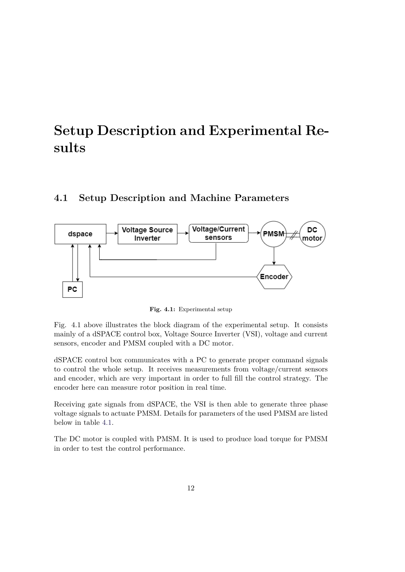# <span id="page-20-0"></span>**Setup Description and Experimental Results**

## <span id="page-20-1"></span>**4.1 Setup Description and Machine Parameters**



**Fig. 4.1:** Experimental setup

Fig. 4.1 above illustrates the block diagram of the experimental setup. It consists mainly of a dSPACE control box, Voltage Source Inverter (VSI), voltage and current sensors, encoder and PMSM coupled with a DC motor.

dSPACE control box communicates with a PC to generate proper command signals to control the whole setup. It receives measurements from voltage/current sensors and encoder, which are very important in order to full fill the control strategy. The encoder here can measure rotor position in real time.

Receiving gate signals from dSPACE, the VSI is then able to generate three phase voltage signals to actuate PMSM. Details for parameters of the used PMSM are listed below in table [4.1.](#page-21-2)

The DC motor is coupled with PMSM. It is used to produce load torque for PMSM in order to test the control performance.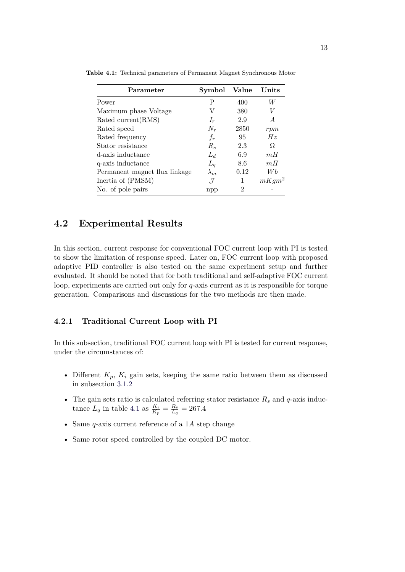| Parameter                     | Symbol      | Value | Units    |
|-------------------------------|-------------|-------|----------|
| Power                         | Ρ           | 400   | W        |
| Maximum phase Voltage         | V           | 380   | V        |
| Rated current (RMS)           | $I_r$       | 2.9   | A        |
| Rated speed                   | $N_r$       | 2850  | rpm      |
| Rated frequency               | $f_r$       | 95    | Hz       |
| Stator resistance             | $R_s$       | 2.3   | Ω        |
| d-axis inductance             | $L_d$       | 6.9   | mH       |
| q-axis inductance             | $L_q$       | 8.6   | mH       |
| Permanent magnet flux linkage | $\lambda_m$ | 0.12  | Wb       |
| Inertia of (PMSM)             | .7          | 1     | $mKgm^2$ |
| No. of pole pairs             | npp         | 2     |          |

<span id="page-21-2"></span>**Table 4.1:** Technical parameters of Permanent Magnet Synchronous Motor

### <span id="page-21-0"></span>**4.2 Experimental Results**

In this section, current response for conventional FOC current loop with PI is tested to show the limitation of response speed. Later on, FOC current loop with proposed adaptive PID controller is also tested on the same experiment setup and further evaluated. It should be noted that for both traditional and self-adaptive FOC current loop, experiments are carried out only for *q*-axis current as it is responsible for torque generation. Comparisons and discussions for the two methods are then made.

#### <span id="page-21-1"></span>**4.2.1 Traditional Current Loop with PI**

In this subsection, traditional FOC current loop with PI is tested for current response, under the circumstances of:

- Different  $K_p$ ,  $K_i$  gain sets, keeping the same ratio between them as discussed in subsection [3.1.2](#page-14-0)
- The gain sets ratio is calculated referring stator resistance *R<sup>s</sup>* and *q*-axis inductance  $L_q$  in table [4.1](#page-21-2) as  $\frac{K_i}{K_p} = \frac{R_s}{L_q}$  $\frac{R_s}{L_q}=267.4$
- Same *q*-axis current reference of a 1*A* step change
- Same rotor speed controlled by the coupled DC motor.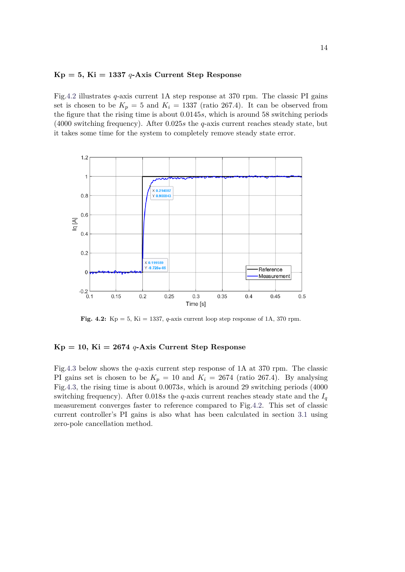#### **Kp = 5, Ki = 1337** *q***-Axis Current Step Response**

Fig[.4.2](#page-22-0) illustrates *q*-axis current 1A step response at 370 rpm. The classic PI gains set is chosen to be  $K_p = 5$  and  $K_i = 1337$  (ratio 267.4). It can be observed from the figure that the rising time is about 0*.*0145*s*, which is around 58 switching periods (4000 switching frequency). After 0*.*025*s* the *q*-axis current reaches steady state, but it takes some time for the system to completely remove steady state error.

<span id="page-22-0"></span>

**Fig. 4.2:**  $Kp = 5$ ,  $Ki = 1337$ , *q*-axis current loop step response of 1A, 370 rpm.

#### $Kp = 10$ ,  $Ki = 2674$  *q***-Axis Current Step Response**

Fig[.4.3](#page-23-0) below shows the *q*-axis current step response of 1A at 370 rpm. The classic PI gains set is chosen to be  $K_p = 10$  and  $K_i = 2674$  (ratio 267.4). By analysing Fig[.4.3,](#page-23-0) the rising time is about 0*.*0073*s*, which is around 29 switching periods (4000 switching frequency). After 0.018*s* the *q*-axis current reaches steady state and the  $I_q$ measurement converges faster to reference compared to Fig[.4.2.](#page-22-0) This set of classic current controller's PI gains is also what has been calculated in section [3.1](#page-13-1) using zero-pole cancellation method.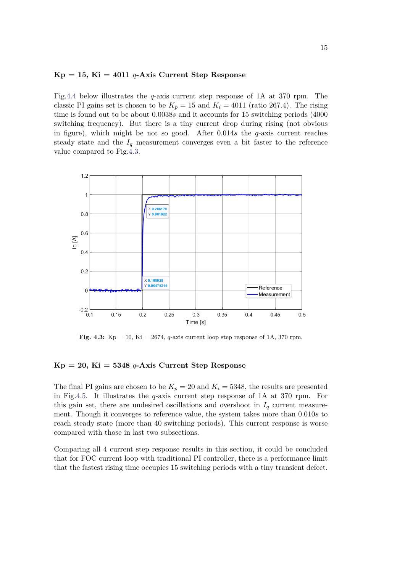#### $Kp = 15$ ,  $Ki = 4011$  *q***-Axis Current Step Response**

Fig[.4.4](#page-24-1) below illustrates the *q*-axis current step response of 1A at 370 rpm. The classic PI gains set is chosen to be  $K_p = 15$  and  $K_i = 4011$  (ratio 267.4). The rising time is found out to be about 0*.*0038*s* and it accounts for 15 switching periods (4000 switching frequency). But there is a tiny current drop during rising (not obvious in figure), which might be not so good. After 0*.*014*s* the *q*-axis current reaches steady state and the  $I_q$  measurement converges even a bit faster to the reference value compared to Fig[.4.3.](#page-23-0)

<span id="page-23-0"></span>

**Fig. 4.3:**  $Kp = 10$ ,  $Ki = 2674$ , *q*-axis current loop step response of 1A, 370 rpm.

#### **Kp = 20, Ki = 5348** *q***-Axis Current Step Response**

The final PI gains are chosen to be  $K_p = 20$  and  $K_i = 5348$ , the results are presented in Fig[.4.5.](#page-24-2) It illustrates the *q*-axis current step response of 1A at 370 rpm. For this gain set, there are undesired oscillations and overshoot in  $I_q$  current measurement. Though it converges to reference value, the system takes more than 0*.*010*s* to reach steady state (more than 40 switching periods). This current response is worse compared with those in last two subsections.

Comparing all 4 current step response results in this section, it could be concluded that for FOC current loop with traditional PI controller, there is a performance limit that the fastest rising time occupies 15 switching periods with a tiny transient defect.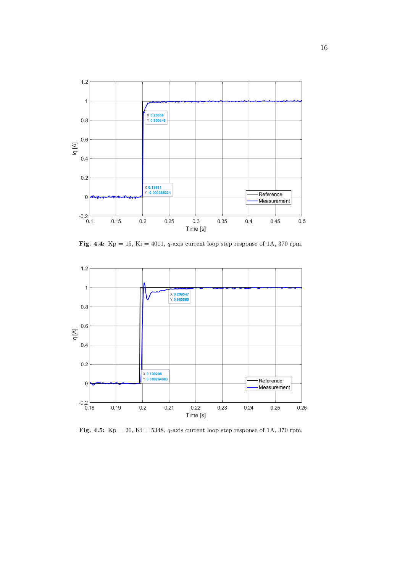<span id="page-24-1"></span>

**Fig. 4.4:** Kp = 15, Ki = 4011, *q*-axis current loop step response of 1A, 370 rpm.

<span id="page-24-2"></span>

<span id="page-24-0"></span>**Fig. 4.5:** Kp = 20, Ki = 5348, *q*-axis current loop step response of 1A, 370 rpm.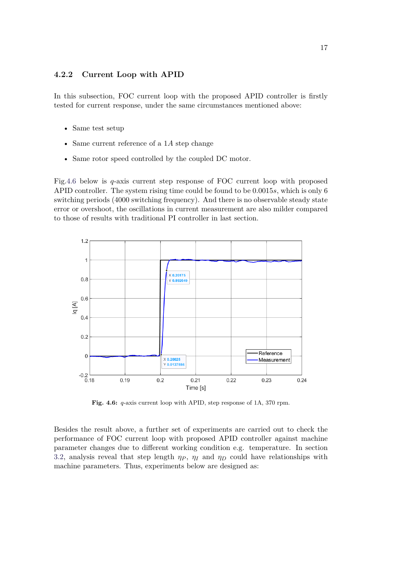### **4.2.2 Current Loop with APID**

In this subsection, FOC current loop with the proposed APID controller is firstly tested for current response, under the same circumstances mentioned above:

- Same test setup
- Same current reference of a 1*A* step change
- Same rotor speed controlled by the coupled DC motor.

Fig[.4.6](#page-25-0) below is *q*-axis current step response of FOC current loop with proposed APID controller. The system rising time could be found to be 0*.*0015*s*, which is only 6 switching periods (4000 switching frequency). And there is no observable steady state error or overshoot, the oscillations in current measurement are also milder compared to those of results with traditional PI controller in last section.

<span id="page-25-0"></span>

**Fig. 4.6:** *q*-axis current loop with APID, step response of 1A, 370 rpm.

Besides the result above, a further set of experiments are carried out to check the performance of FOC current loop with proposed APID controller against machine parameter changes due to different working condition e.g. temperature. In section [3.2,](#page-15-0) analysis reveal that step length  $\eta_P$ ,  $\eta_I$  and  $\eta_D$  could have relationships with machine parameters. Thus, experiments below are designed as: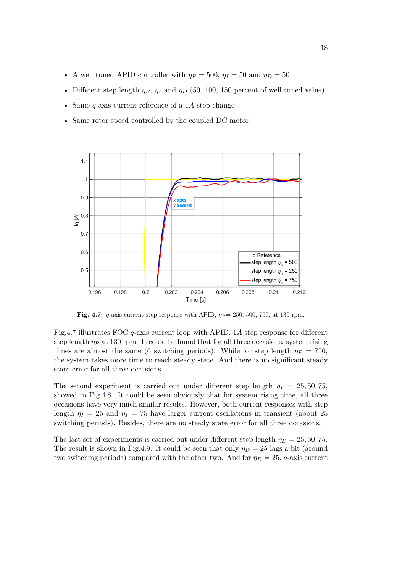- A well tuned APID controller with  $\eta_P = 500$ ,  $\eta_I = 50$  and  $\eta_D = 50$
- Different step length  $\eta_P$ ,  $\eta_I$  and  $\eta_D$  (50, 100, 150 percent of well tuned value)
- Same *q*-axis current reference of a 1*A* step change
- Same rotor speed controlled by the coupled DC motor.

<span id="page-26-0"></span>

**Fig. 4.7:** *q*-axis current step response with APID,  $\eta_P = 250, 500, 750, \text{ at } 130 \text{ rpm}$ .

Fig[.4.7](#page-26-0) illustrates FOC *q*-axis current loop with APID, 1*A* step response for different step length *η<sup>P</sup>* at 130 rpm. It could be found that for all three occasions, system rising times are almost the same (6 switching periods). While for step length  $\eta_P = 750$ , the system takes more time to reach steady state. And there is no significant steady state error for all three occasions.

The second experiment is carried out under different step length  $\eta_I = 25, 50, 75$ , showed in Fig[.4.8.](#page-27-0) It could be seen obviously that for system rising time, all three occasions have very much similar results. However, both current responses with step length  $\eta_I = 25$  and  $\eta_I = 75$  have larger current oscillations in transient (about 25 switching periods). Besides, there are no steady state error for all three occasions.

The last set of experiments is carried out under different step length  $\eta_D = 25, 50, 75$ . The result is shown in Fig[.4.9.](#page-27-1) It could be seen that only  $\eta_D = 25$  lags a bit (around two switching periods) compared with the other two. And for  $\eta_D = 25$ , *q*-axis current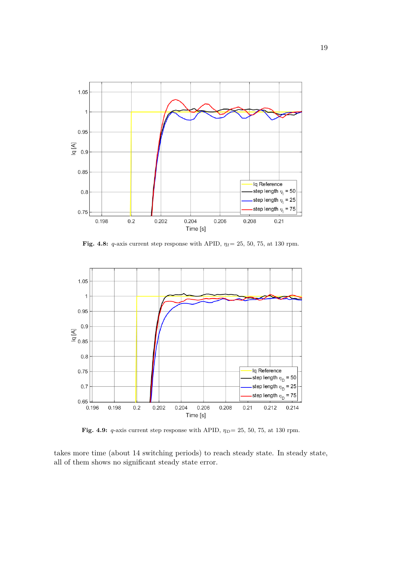<span id="page-27-0"></span>

**Fig. 4.8:** *q*-axis current step response with APID, *ηI*= 25, 50, 75, at 130 rpm.

<span id="page-27-1"></span>

Fig. 4.9: *q*-axis current step response with APID,  $\eta_D = 25$ , 50, 75, at 130 rpm.

takes more time (about 14 switching periods) to reach steady state. In steady state, all of them shows no significant steady state error.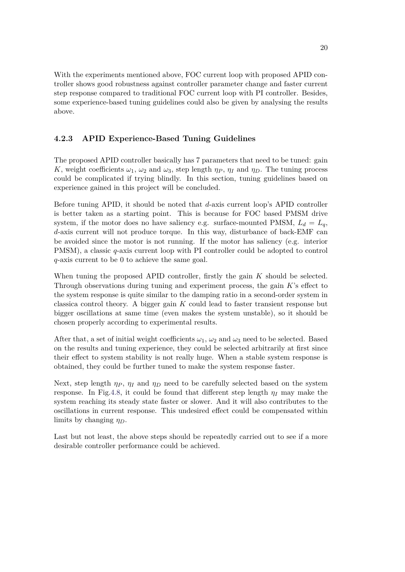With the experiments mentioned above, FOC current loop with proposed APID controller shows good robustness against controller parameter change and faster current step response compared to traditional FOC current loop with PI controller. Besides, some experience-based tuning guidelines could also be given by analysing the results above.

### <span id="page-28-0"></span>**4.2.3 APID Experience-Based Tuning Guidelines**

The proposed APID controller basically has 7 parameters that need to be tuned: gain *K*, weight coefficients  $\omega_1$ ,  $\omega_2$  and  $\omega_3$ , step length  $\eta_P$ ,  $\eta_I$  and  $\eta_D$ . The tuning process could be complicated if trying blindly. In this section, tuning guidelines based on experience gained in this project will be concluded.

Before tuning APID, it should be noted that *d*-axis current loop's APID controller is better taken as a starting point. This is because for FOC based PMSM drive system, if the motor does no have saliency e.g. surface-mounted PMSM,  $L_d = L_q$ , *d*-axis current will not produce torque. In this way, disturbance of back-EMF can be avoided since the motor is not running. If the motor has saliency (e.g. interior PMSM), a classic *q*-axis current loop with PI controller could be adopted to control *q*-axis current to be 0 to achieve the same goal.

When tuning the proposed APID controller, firstly the gain *K* should be selected. Through observations during tuning and experiment process, the gain *K*'s effect to the system response is quite similar to the damping ratio in a second-order system in classica control theory. A bigger gain *K* could lead to faster transient response but bigger oscillations at same time (even makes the system unstable), so it should be chosen properly according to experimental results.

After that, a set of initial weight coefficients  $\omega_1$ ,  $\omega_2$  and  $\omega_3$  need to be selected. Based on the results and tuning experience, they could be selected arbitrarily at first since their effect to system stability is not really huge. When a stable system response is obtained, they could be further tuned to make the system response faster.

Next, step length  $\eta_P$ ,  $\eta_I$  and  $\eta_D$  need to be carefully selected based on the system response. In Fig[.4.8,](#page-27-0) it could be found that different step length  $\eta_I$  may make the system reaching its steady state faster or slower. And it will also contributes to the oscillations in current response. This undesired effect could be compensated within limits by changing *ηD*.

Last but not least, the above steps should be repeatedly carried out to see if a more desirable controller performance could be achieved.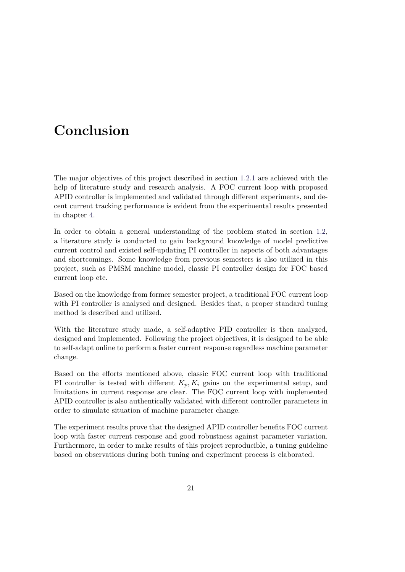# <span id="page-29-0"></span>**Conclusion**

The major objectives of this project described in section [1.2.1](#page-10-0) are achieved with the help of literature study and research analysis. A FOC current loop with proposed APID controller is implemented and validated through different experiments, and decent current tracking performance is evident from the experimental results presented in chapter [4.](#page-20-0)

In order to obtain a general understanding of the problem stated in section [1.2,](#page-9-2) a literature study is conducted to gain background knowledge of model predictive current control and existed self-updating PI controller in aspects of both advantages and shortcomings. Some knowledge from previous semesters is also utilized in this project, such as PMSM machine model, classic PI controller design for FOC based current loop etc.

Based on the knowledge from former semester project, a traditional FOC current loop with PI controller is analysed and designed. Besides that, a proper standard tuning method is described and utilized.

With the literature study made, a self-adaptive PID controller is then analyzed, designed and implemented. Following the project objectives, it is designed to be able to self-adapt online to perform a faster current response regardless machine parameter change.

Based on the efforts mentioned above, classic FOC current loop with traditional PI controller is tested with different  $K_p, K_i$  gains on the experimental setup, and limitations in current response are clear. The FOC current loop with implemented APID controller is also authentically validated with different controller parameters in order to simulate situation of machine parameter change.

The experiment results prove that the designed APID controller benefits FOC current loop with faster current response and good robustness against parameter variation. Furthermore, in order to make results of this project reproducible, a tuning guideline based on observations during both tuning and experiment process is elaborated.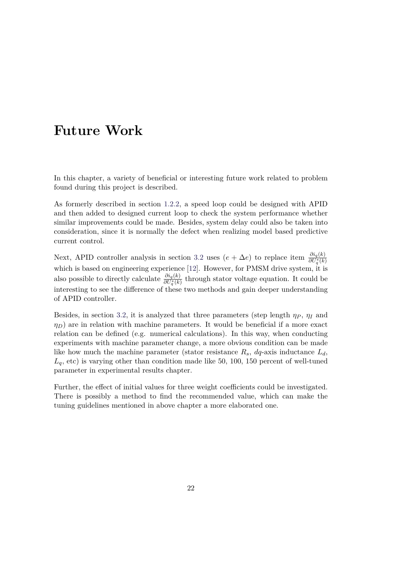# <span id="page-30-0"></span>**Future Work**

In this chapter, a variety of beneficial or interesting future work related to problem found during this project is described.

As formerly described in section [1.2.2,](#page-10-1) a speed loop could be designed with APID and then added to designed current loop to check the system performance whether similar improvements could be made. Besides, system delay could also be taken into consideration, since it is normally the defect when realizing model based predictive current control.

Next, APID controller analysis in section [3.2](#page-15-0) uses  $(e + \Delta e)$  to replace item  $\frac{\partial i_q(k)}{\partial U_q^*(k)}$ which is based on engineering experience [\[12\]](#page-32-3). However, for PMSM drive system, it is also possible to directly calculate  $\frac{\partial i_q(k)}{\partial U_q^*(k)}$  through stator voltage equation. It could be interesting to see the difference of these two methods and gain deeper understanding of APID controller.

Besides, in section [3.2,](#page-15-0) it is analyzed that three parameters (step length  $\eta_P$ ,  $\eta_I$  and  $\eta_D$  are in relation with machine parameters. It would be beneficial if a more exact relation can be defined (e.g. numerical calculations). In this way, when conducting experiments with machine parameter change, a more obvious condition can be made like how much the machine parameter (stator resistance  $R_s$ ,  $dq$ -axis inductance  $L_d$ , *Lq*, etc) is varying other than condition made like 50, 100, 150 percent of well-tuned parameter in experimental results chapter.

Further, the effect of initial values for three weight coefficients could be investigated. There is possibly a method to find the recommended value, which can make the tuning guidelines mentioned in above chapter a more elaborated one.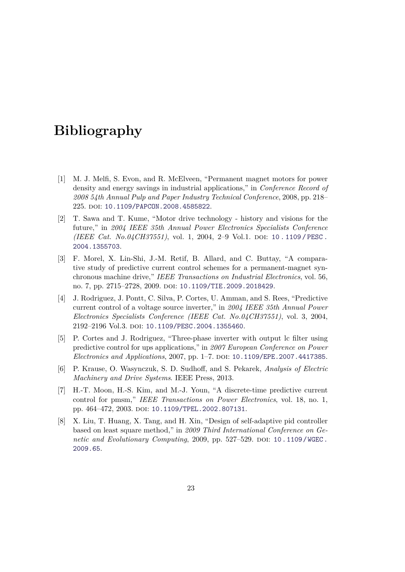# **Bibliography**

- <span id="page-31-0"></span>[1] M. J. Melfi, S. Evon, and R. McElveen, "Permanent magnet motors for power density and energy savings in industrial applications," in *Conference Record of 2008 54th Annual Pulp and Paper Industry Technical Conference*, 2008, pp. 218– 225. doi: [10.1109/PAPCON.2008.4585822](https://doi.org/10.1109/PAPCON.2008.4585822).
- <span id="page-31-1"></span>[2] T. Sawa and T. Kume, "Motor drive technology - history and visions for the future," in *2004 IEEE 35th Annual Power Electronics Specialists Conference (IEEE Cat. No.04CH37551)*, vol. 1, 2004, 2-9 Vol.1. DOI: 10.1109/PESC. [2004.1355703](https://doi.org/10.1109/PESC.2004.1355703).
- <span id="page-31-2"></span>[3] F. Morel, X. Lin-Shi, J.-M. Retif, B. Allard, and C. Buttay, "A comparative study of predictive current control schemes for a permanent-magnet synchronous machine drive," *IEEE Transactions on Industrial Electronics*, vol. 56, no. 7, pp. 2715–2728, 2009. doi: [10.1109/TIE.2009.2018429](https://doi.org/10.1109/TIE.2009.2018429).
- <span id="page-31-3"></span>[4] J. Rodriguez, J. Pontt, C. Silva, P. Cortes, U. Amman, and S. Rees, "Predictive current control of a voltage source inverter," in *2004 IEEE 35th Annual Power Electronics Specialists Conference (IEEE Cat. No.04CH37551)*, vol. 3, 2004, 2192–2196 Vol.3. doi: [10.1109/PESC.2004.1355460](https://doi.org/10.1109/PESC.2004.1355460).
- <span id="page-31-4"></span>[5] P. Cortes and J. Rodriguez, "Three-phase inverter with output lc filter using predictive control for ups applications," in *2007 European Conference on Power Electronics and Applications*, 2007, pp. 1–7. doi: [10.1109/EPE.2007.4417385](https://doi.org/10.1109/EPE.2007.4417385).
- <span id="page-31-5"></span>[6] P. Krause, O. Wasynczuk, S. D. Sudhoff, and S. Pekarek, *Analysis of Electric Machinery and Drive Systems*. IEEE Press, 2013.
- <span id="page-31-6"></span>[7] H.-T. Moon, H.-S. Kim, and M.-J. Youn, "A discrete-time predictive current control for pmsm," *IEEE Transactions on Power Electronics*, vol. 18, no. 1, pp. 464-472, 2003. doi: [10.1109/TPEL.2002.807131](https://doi.org/10.1109/TPEL.2002.807131).
- <span id="page-31-7"></span>[8] X. Liu, T. Huang, X. Tang, and H. Xin, "Design of self-adaptive pid controller based on least square method," in *2009 Third International Conference on Genetic and Evolutionary Computing*, 2009, pp. 527–529. DOI: [10.1109/WGEC.](https://doi.org/10.1109/WGEC.2009.65) [2009.65](https://doi.org/10.1109/WGEC.2009.65).